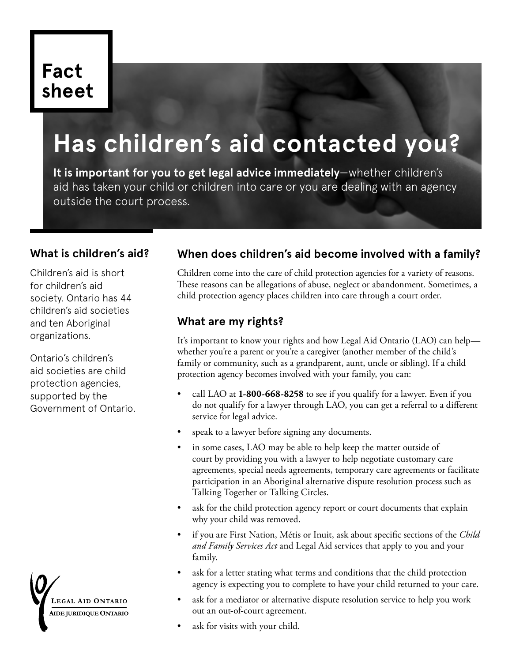# **Fact sheet**

# **Has children's aid contacted you?**

**It is important for you to get legal advice immediately**—whether children's aid has taken your child or children into care or you are dealing with an agency outside the court process.

### **What is children's aid?**

Children's aid is short for children's aid society. Ontario has 44 children's aid societies and ten Aboriginal organizations.

Ontario's children's aid societies are child protection agencies, supported by the Government of Ontario.



# **When does children's aid become involved with a family?**

Children come into the care of child protection agencies for a variety of reasons. These reasons can be allegations of abuse, neglect or abandonment. Sometimes, a child protection agency places children into care through a court order.

## **What are my rights?**

It's important to know your rights and how Legal Aid Ontario (LAO) can help whether you're a parent or you're a caregiver (another member of the child's family or community, such as a grandparent, aunt, uncle or sibling). If a child protection agency becomes involved with your family, you can:

- call LAO at **1-800-668-8258** to see if you qualify for a lawyer. Even if you do not qualify for a lawyer through LAO, you can get a referral to a different service for legal advice.
- speak to a lawyer before signing any documents.
- in some cases, LAO may be able to help keep the matter outside of court by providing you with a lawyer to help negotiate customary care agreements, special needs agreements, temporary care agreements or facilitate participation in an Aboriginal alternative dispute resolution process such as Talking Together or Talking Circles.
- ask for the child protection agency report or court documents that explain why your child was removed.
- if you are First Nation, Métis or Inuit, ask about specific sections of the *Child and Family Services Act* and Legal Aid services that apply to you and your family.
- ask for a letter stating what terms and conditions that the child protection agency is expecting you to complete to have your child returned to your care.
- ask for a mediator or alternative dispute resolution service to help you work out an out-of-court agreement.
- ask for visits with your child.